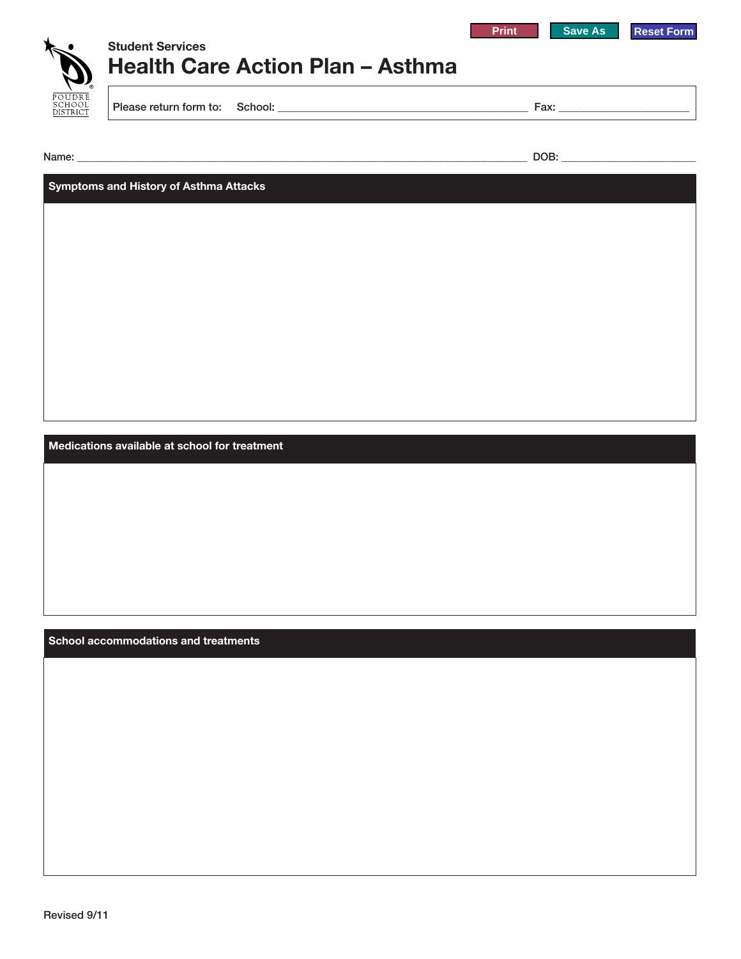



## **Health Care Action Plan – Asthma Student Services**

Please return form to: School: \_\_\_\_\_\_\_\_\_\_\_\_\_\_\_\_\_\_\_\_\_\_\_\_\_\_\_\_\_\_\_\_\_\_\_\_\_\_\_\_\_\_\_\_\_\_ Fax: \_\_\_\_\_\_\_\_\_\_\_\_\_\_\_\_\_\_\_\_\_\_\_\_

Name: \_\_\_\_\_\_\_\_\_\_\_\_\_\_\_\_\_\_\_\_\_\_\_\_\_\_\_\_\_\_\_\_\_\_\_\_\_\_\_\_\_\_\_\_\_\_\_\_\_\_\_\_\_\_\_\_\_\_\_\_\_\_\_\_\_\_\_\_\_\_\_\_\_\_\_\_\_\_\_\_\_\_\_\_\_\_\_ DOB: \_\_\_\_\_\_\_\_\_\_\_\_\_\_\_\_\_\_\_\_\_\_\_\_\_\_

**Symptoms and History of Asthma Attacks**

**Medications available at school for treatment**

**School accommodations and treatments**